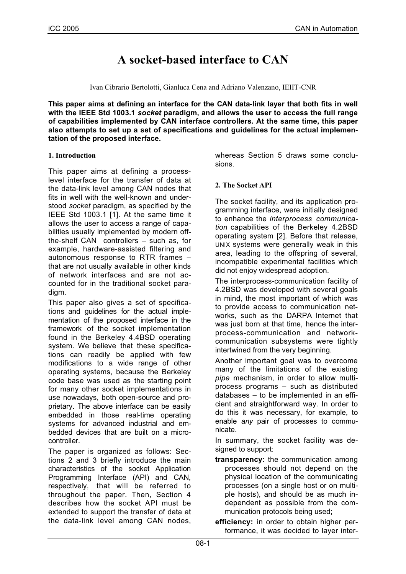# **A socket-based interface to CAN**

Ivan Cibrario Bertolotti, Gianluca Cena and Adriano Valenzano, IEIIT-CNR

**This paper aims at defining an interface for the CAN data-link layer that both fits in well with the IEEE Std 1003.1** *socket* **paradigm, and allows the user to access the full range of capabilities implemented by CAN interface controllers. At the same time, this paper also attempts to set up a set of specifications and guidelines for the actual implementation of the proposed interface.**

## **1. Introduction**

This paper aims at defining a processlevel interface for the transfer of data at the data-link level among CAN nodes that fits in well with the well-known and understood *socket* paradigm, as specified by the IEEE Std 1003.1 [1]. At the same time it allows the user to access a range of capabilities usually implemented by modern offthe-shelf CAN controllers – such as, for example, hardware-assisted filtering and autonomous response to RTR frames – that are not usually available in other kinds of network interfaces and are not accounted for in the traditional socket paradigm.

This paper also gives a set of specifications and guidelines for the actual implementation of the proposed interface in the framework of the socket implementation found in the Berkeley 4.4BSD operating system. We believe that these specifications can readily be applied with few modifications to a wide range of other operating systems, because the Berkeley code base was used as the starting point for many other socket implementations in use nowadays, both open-source and proprietary. The above interface can be easily embedded in those real-time operating systems for advanced industrial and embedded devices that are built on a microcontroller.

The paper is organized as follows: Sections 2 and 3 briefly introduce the main characteristics of the socket Application Programming Interface (API) and CAN, respectively, that will be referred to throughout the paper. Then, Section 4 describes how the socket API must be extended to support the transfer of data at the data-link level among CAN nodes,

whereas Section 5 draws some conclusions.

# **2. The Socket API**

The socket facility, and its application programming interface, were initially designed to enhance the *interprocess communication* capabilities of the Berkeley 4.2BSD operating system [2]. Before that release, UNIX systems were generally weak in this area, leading to the offspring of several, incompatible experimental facilities which did not enjoy widespread adoption.

The interprocess-communication facility of 4.2BSD was developed with several goals in mind, the most important of which was to provide access to communication networks, such as the DARPA Internet that was just born at that time, hence the interprocess-communication and networkcommunication subsystems were tightly intertwined from the very beginning.

Another important goal was to overcome many of the limitations of the existing *pipe* mechanism, in order to allow multiprocess programs – such as distributed databases – to be implemented in an efficient and straightforward way. In order to do this it was necessary, for example, to enable *any* pair of processes to communicate.

In summary, the socket facility was designed to support:

**transparency:** the communication among processes should not depend on the physical location of the communicating processes (on a single host or on multiple hosts), and should be as much independent as possible from the communication protocols being used;

**efficiency:** in order to obtain higher performance, it was decided to layer inter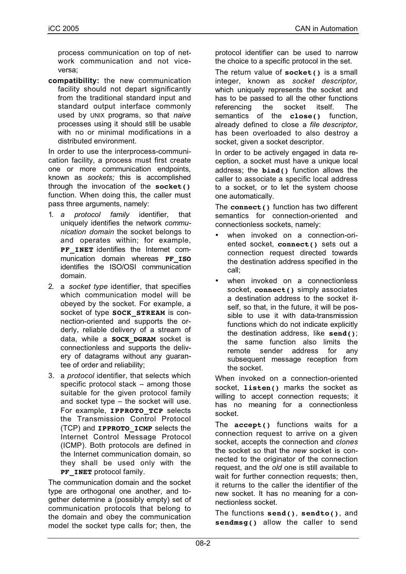process communication on top of network communication and not viceversa;

**compatibility:** the new communication facility should not depart significantly from the traditional standard input and standard output interface commonly used by UNIX programs, so that *naive* processes using it should still be usable with no or minimal modifications in a distributed environment.

In order to use the interprocess-communication facility, a process must first create one or more communication endpoints, known as *sockets;* this is accomplished through the invocation of the **socket()** function. When doing this, the caller must pass three arguments, namely:

- 1. *a protocol family* identifier, that uniquely identifies the network *communication domain* the socket belongs to and operates within; for example, **PF INET** identifies the Internet communication domain whereas **PF\_ISO** identifies the ISO/OSI communication domain.
- 2. a *socket type* identifier, that specifies which communication model will be obeyed by the socket. For example, a socket of type **SOCK\_STREAM** is connection-oriented and supports the orderly, reliable delivery of a stream of data, while a **SOCK\_DGRAM** socket is connectionless and supports the delivery of datagrams without any guarantee of order and reliability;
- 3. a *protocol* identifier, that selects which specific protocol stack – among those suitable for the given protocol family and socket type – the socket will use. For example, **IPPROTO\_TCP** selects the Transmission Control Protocol (TCP) and **IPPROTO\_ICMP** selects the Internet Control Message Protocol (ICMP). Both protocols are defined in the Internet communication domain, so they shall be used only with the **PF\_INET** protocol family.

The communication domain and the socket type are orthogonal one another, and together determine a (possibly empty) set of communication protocols that belong to the domain and obey the communication model the socket type calls for; then, the protocol identifier can be used to narrow the choice to a specific protocol in the set.

The return value of **socket()** is a small integer, known as *socket descriptor,* which uniquely represents the socket and has to be passed to all the other functions referencing the socket itself. The semantics of the **close()** function, already defined to close a *file descriptor*, has been overloaded to also destroy a socket, given a socket descriptor.

In order to be actively engaged in data reception, a socket must have a unique local address; the **bind()** function allows the caller to associate a specific local address to a socket, or to let the system choose one automatically.

The **connect()** function has two different semantics for connection-oriented and connectionless sockets, namely:

- when invoked on a connection-oriented socket, **connect()** sets out a connection request directed towards the destination address specified in the call;
- when invoked on a connectionless socket, **connect()** simply associates a destination address to the socket itself, so that, in the future, it will be possible to use it with data-transmission functions which do not indicate explicitly the destination address, like **send()**; the same function also limits the remote sender address for any subsequent message reception from the socket.

When invoked on a connection-oriented socket, **listen()** marks the socket as willing to accept connection requests; it has no meaning for a connectionless socket.

The **accept()** functions waits for a connection request to arrive on a given socket, accepts the connection and *clones* the socket so that the *new* socket is connected to the originator of the connection request, and the *old* one is still available to wait for further connection requests; then, it returns to the caller the identifier of the new socket. It has no meaning for a connectionless socket.

The functions **send()**, **sendto()**, and **sendmsg()** allow the caller to send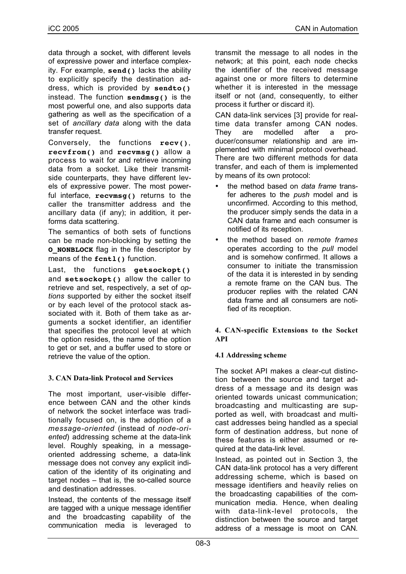data through a socket, with different levels of expressive power and interface complexity. For example, **send()** lacks the ability to explicitly specify the destination address, which is provided by **sendto()** instead. The function **sendmsg()** is the most powerful one, and also supports data gathering as well as the specification of a set of *ancillary data* along with the data transfer request.

Conversely, the functions **recv()**, **recvfrom()** and **recvmsg()** allow a process to wait for and retrieve incoming data from a socket. Like their transmitside counterparts, they have different levels of expressive power. The most powerful interface, **recvmsg()** returns to the caller the transmitter address and the ancillary data (if any); in addition, it performs data scattering.

The semantics of both sets of functions can be made non-blocking by setting the **O\_NONBLOCK** flag in the file descriptor by means of the **fcntl()** function.

Last, the functions **getsockopt()** and **setsockopt()** allow the caller to retrieve and set, respectively, a set of *options* supported by either the socket itself or by each level of the protocol stack associated with it. Both of them take as arguments a socket identifier, an identifier that specifies the protocol level at which the option resides, the name of the option to get or set, and a buffer used to store or retrieve the value of the option.

# **3. CAN Data-link Protocol and Services**

The most important, user-visible difference between CAN and the other kinds of network the socket interface was traditionally focused on, is the adoption of a *message-oriented* (instead of *node-oriented*) addressing scheme at the data-link level. Roughly speaking, in a messageoriented addressing scheme, a data-link message does not convey any explicit indication of the identity of its originating and target nodes – that is, the so-called source and destination addresses.

Instead, the contents of the message itself are tagged with a unique message identifier and the broadcasting capability of the communication media is leveraged to transmit the message to all nodes in the network; at this point, each node checks the identifier of the received message against one or more filters to determine whether it is interested in the message itself or not (and, consequently, to either process it further or discard it).

CAN data-link services [3] provide for realtime data transfer among CAN nodes. They are modelled after a producer/consumer relationship and are implemented with minimal protocol overhead. There are two different methods for data transfer, and each of them is implemented by means of its own protocol:

- the method based on *data frame* transfer adheres to the *push* model and is unconfirmed. According to this method, the producer simply sends the data in a CAN data frame and each consumer is notified of its reception.
- the method based on *remote frames* operates according to the *pull* model and is somehow confirmed. It allows a consumer to initiate the transmission of the data it is interested in by sending a remote frame on the CAN bus. The producer replies with the related CAN data frame and all consumers are notified of its reception.

## **4. CAN-specific Extensions to the Socket API**

# **4.1 Addressing scheme**

The socket API makes a clear-cut distinction between the source and target address of a message and its design was oriented towards unicast communication; broadcasting and multicasting are supported as well, with broadcast and multicast addresses being handled as a special form of destination address, but none of these features is either assumed or required at the data-link level.

Instead, as pointed out in Section 3, the CAN data-link protocol has a very different addressing scheme, which is based on message identifiers and heavily relies on the broadcasting capabilities of the communication media. Hence, when dealing with data-link-level protocols, the distinction between the source and target address of a message is moot on CAN.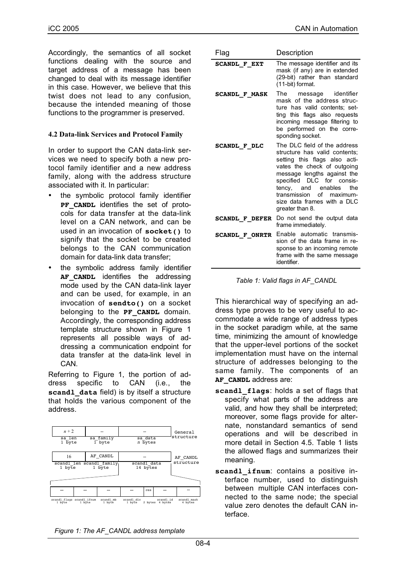Accordingly, the semantics of all socket functions dealing with the source and target address of a message has been changed to deal with its message identifier in this case. However, we believe that this twist does not lead to any confusion, because the intended meaning of those functions to the programmer is preserved.

#### **4.2 Data-link Services and Protocol Family**

In order to support the CAN data-link services we need to specify both a new protocol family identifier and a new address family, along with the address structure associated with it. In particular:

- the symbolic protocol family identifier **PF CANDL** identifies the set of protocols for data transfer at the data-link level on a CAN network, and can be used in an invocation of **socket()** to signify that the socket to be created belongs to the CAN communication domain for data-link data transfer;
- the symbolic address family identifier **AF CANDL** identifies the addressing mode used by the CAN data-link layer and can be used, for example, in an invocation of **sendto()** on a socket belonging to the **PF CANDL** domain. Accordingly, the corresponding address template structure shown in Figure 1 represents all possible ways of addressing a communication endpoint for data transfer at the data-link level in **CAN**

Referring to Figure 1, the portion of address specific to CAN (i.e., the scand1 data field) is by itself a structure that holds the various component of the address.



| Flag                  | Description                                                                                                                                                                                                                                                                                             |  |  |  |  |
|-----------------------|---------------------------------------------------------------------------------------------------------------------------------------------------------------------------------------------------------------------------------------------------------------------------------------------------------|--|--|--|--|
| <b>SCANDL F EXT</b>   | The message identifier and its<br>mask (if any) are in extended<br>(29-bit) rather than standard<br>(11-bit) format.                                                                                                                                                                                    |  |  |  |  |
| <b>SCANDL F MASK</b>  | The<br>message identifier<br>mask of the address struc-<br>ture has valid contents; set-<br>ting this flags also requests<br>incoming message filtering to<br>be performed on the corre-<br>sponding socket.                                                                                            |  |  |  |  |
| <b>SCANDL F DLC</b>   | The DLC field of the address<br>structure has valid contents;<br>setting this flags also acti-<br>vates the check of outgoing<br>message lengths against the<br>specified DLC for consis-<br>tency, and enables<br>the<br>transmission<br>of maximum-<br>size data frames with a DLC<br>greater than 8. |  |  |  |  |
| <b>SCANDL F DEFER</b> | Do not send the output data<br>frame immediately.                                                                                                                                                                                                                                                       |  |  |  |  |
| <b>SCANDL F ONRTR</b> | Enable automatic transmis-<br>sion of the data frame in re-<br>sponse to an incoming remote<br>frame with the same message<br>identifier.                                                                                                                                                               |  |  |  |  |

|  |  |  | Table 1: Valid flags in AF_CANDL |
|--|--|--|----------------------------------|

This hierarchical way of specifying an address type proves to be very useful to accommodate a wide range of address types in the socket paradigm while, at the same time, minimizing the amount of knowledge that the upper-level portions of the socket implementation must have on the internal structure of addresses belonging to the same family. The components of an AF CANDL address are:

- **scandl\_flags**: holds a set of flags that specify what parts of the address are valid, and how they shall be interpreted; moreover, some flags provide for alternate, nonstandard semantics of send operations and will be described in more detail in Section 4.5. Table 1 lists the allowed flags and summarizes their meaning.
- **scandl\_ifnum**: contains a positive interface number, used to distinguish between multiple CAN interfaces connected to the same node; the special value zero denotes the default CAN interface.

*Figure 1: The AF\_CANDL address template*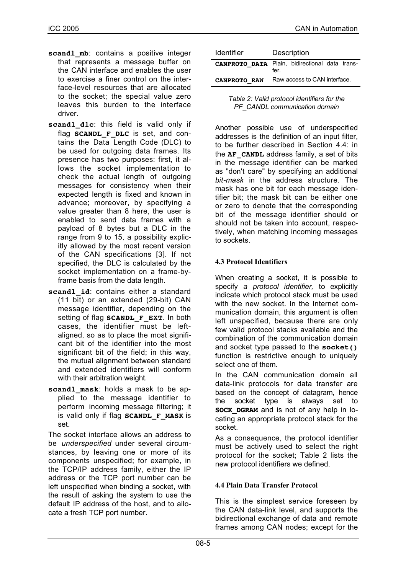- scandl mb: contains a positive integer that represents a message buffer on the CAN interface and enables the user to exercise a finer control on the interface-level resources that are allocated to the socket; the special value zero leaves this burden to the interface driver.
- scandl dlc: this field is valid only if flag **SCANDL** F DLC is set, and contains the Data Length Code (DLC) to be used for outgoing data frames. Its presence has two purposes: first, it allows the socket implementation to check the actual length of outgoing messages for consistency when their expected length is fixed and known in advance; moreover, by specifying a value greater than 8 here, the user is enabled to send data frames with a payload of 8 bytes but a DLC in the range from 9 to 15, a possibility explicitly allowed by the most recent version of the CAN specifications [3]. If not specified, the DLC is calculated by the socket implementation on a frame-byframe basis from the data length.
- scandl id: contains either a standard (11 bit) or an extended (29-bit) CAN message identifier, depending on the setting of flag **SCANDL F** EXT. In both cases, the identifier must be leftaligned, so as to place the most significant bit of the identifier into the most significant bit of the field; in this way, the mutual alignment between standard and extended identifiers will conform with their arbitration weight.
- **scandl\_mask**: holds a mask to be applied to the message identifier to perform incoming message filtering; it is valid only if flag **SCANDL\_F\_MASK** is set.

The socket interface allows an address to be *underspecified* under several circumstances, by leaving one or more of its components unspecified; for example, in the TCP/IP address family, either the IP address or the TCP port number can be left unspecified when binding a socket, with the result of asking the system to use the default IP address of the host, and to allocate a fresh TCP port number.

| <b>Identifier</b>                              | Description                  |  |  |  |  |
|------------------------------------------------|------------------------------|--|--|--|--|
| CANPROTO DATA Plain, bidirectional data trans- | fer.                         |  |  |  |  |
| <b>CANPROTO RAW</b>                            | Raw access to CAN interface. |  |  |  |  |

*Table 2: Valid protocol identifiers for the PF\_CANDL communication domain*

Another possible use of underspecified addresses is the definition of an input filter, to be further described in Section 4.4: in the **AF** CANDL address family, a set of bits in the message identifier can be marked as "don't care" by specifying an additional *bit-mask* in the address structure. The mask has one bit for each message identifier bit; the mask bit can be either one or zero to denote that the corresponding bit of the message identifier should or should not be taken into account, respectively, when matching incoming messages to sockets.

# **4.3 Protocol Identifiers**

When creating a socket, it is possible to specify *a protocol identifier,* to explicitly indicate which protocol stack must be used with the new socket. In the Internet communication domain, this argument is often left unspecified, because there are only few valid protocol stacks available and the combination of the communication domain and socket type passed to the **socket()** function is restrictive enough to uniquely select one of them.

In the CAN communication domain all data-link protocols for data transfer are based on the concept of datagram, hence the socket type is always set to **SOCK DGRAM** and is not of any help in locating an appropriate protocol stack for the socket.

As a consequence, the protocol identifier must be actively used to select the right protocol for the socket; Table 2 lists the new protocol identifiers we defined.

# **4.4 Plain Data Transfer Protocol**

This is the simplest service foreseen by the CAN data-link level, and supports the bidirectional exchange of data and remote frames among CAN nodes; except for the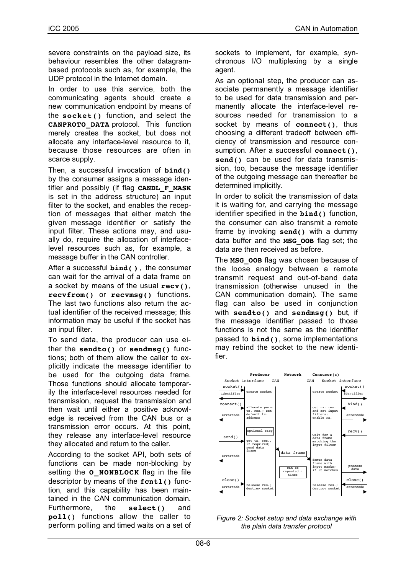severe constraints on the payload size, its behaviour resembles the other datagrambased protocols such as, for example, the UDP protocol in the Internet domain.

In order to use this service, both the communicating agents should create a new communication endpoint by means of the **socket()** function, and select the **CANPROTO\_DATA** protocol. This function merely creates the socket, but does not allocate any interface-level resource to it, because those resources are often in scarce supply.

Then, a successful invocation of **bind()** by the consumer assigns a message identifier and possibly (if flag **CANDL\_F\_MASK** is set in the address structure) an input filter to the socket, and enables the reception of messages that either match the given message identifier or satisfy the input filter. These actions may, and usually do, require the allocation of interfacelevel resources such as, for example, a message buffer in the CAN controller.

After a successful **bind( )** , the consumer can wait for the arrival of a data frame on a socket by means of the usual **recv()**, **recvfrom()** or **recvmsg()** functions. The last two functions also return the actual identifier of the received message; this information may be useful if the socket has an input filter.

To send data, the producer can use either the **sendto()** or **sendmsg()** functions; both of them allow the caller to explicitly indicate the message identifier to be used for the outgoing data frame. Those functions should allocate temporarily the interface-level resources needed for transmission, request the transmission and then wait until either a positive acknowledge is received from the CAN bus or a transmission error occurs. At this point, they release any interface-level resource they allocated and return to the caller.

According to the socket API, both sets of functions can be made non-blocking by setting the **O\_NONBLOCK** flag in the file descriptor by means of the **fcntl()** function, and this capability has been maintained in the CAN communication domain. Furthermore, the **select()** and **poll()** functions allow the caller to perform polling and timed waits on a set of sockets to implement, for example, synchronous I/O multiplexing by a single agent.

As an optional step, the producer can associate permanently a message identifier to be used for data transmission and permanently allocate the interface-level resources needed for transmission to a socket by means of **connect()**, thus choosing a different tradeoff between efficiency of transmission and resource consumption. After a successful **connect()**, **send()** can be used for data transmission, too, because the message identifier of the outgoing message can thereafter be determined implicitly.

In order to solicit the transmission of data it is waiting for, and carrying the message identifier specified in the **bind()** function, the consumer can also transmit a remote frame by invoking **send()** with a dummy data buffer and the **MSG\_OOB** flag set; the data are then received as before.

The **MSG** OOB flag was chosen because of the loose analogy between a remote transmit request and out-of-band data transmission (otherwise unused in the CAN communication domain). The same flag can also be used in conjunction with **sendto()** and **sendmsg()** but, if the message identifier passed to those functions is not the same as the identifier passed to **bind()**, some implementations may rebind the socket to the new identifier.



*Figure 2: Socket setup and data exchange with the plain data transfer protocol*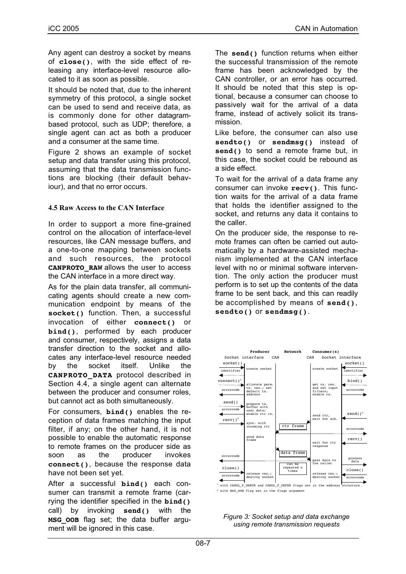Any agent can destroy a socket by means of **close()**, with the side effect of releasing any interface-level resource allocated to it as soon as possible.

It should be noted that, due to the inherent symmetry of this protocol, a single socket can be used to send and receive data, as is commonly done for other datagrambased protocol, such as UDP; therefore, a single agent can act as both a producer and a consumer at the same time.

Figure 2 shows an example of socket setup and data transfer using this protocol, assuming that the data transmission functions are blocking (their default behaviour), and that no error occurs.

## **4.5 Raw Access to the CAN Interface**

In order to support a more fine-grained control on the allocation of interface-level resources, like CAN message buffers, and a one-to-one mapping between sockets and such resources, the protocol **CANPROTO\_RAW** allows the user to access the CAN interface in a more direct way.

As for the plain data transfer, all communicating agents should create a new communication endpoint by means of the **socket()** function. Then, a successful invocation of either **connect()** or **bind()**, performed by each producer and consumer, respectively, assigns a data transfer direction to the socket and allocates any interface-level resource needed by the socket itself. Unlike the **CANPROTO\_DATA** protocol described in Section 4.4, a single agent can alternate between the producer and consumer roles, but cannot act as both simultaneously.

For consumers, **bind()** enables the reception of data frames matching the input filter, if any; on the other hand, it is not possible to enable the automatic response to remote frames on the producer side as soon as the producer invokes **connect()**, because the response data have not been set yet.

After a successful **bind()** each consumer can transmit a remote frame (carrying the identifier specified in the **bind()** call) by invoking **send()** with the **MSG\_OOB** flag set; the data buffer argument will be ignored in this case.

The **send()** function returns when either the successful transmission of the remote frame has been acknowledged by the CAN controller, or an error has occurred. It should be noted that this step is optional, because a consumer can choose to passively wait for the arrival of a data frame, instead of actively solicit its transmission.

Like before, the consumer can also use **sendto()** or **sendmsg()** instead of **send()** to send a remote frame but, in this case, the socket could be rebound as a side effect.

To wait for the arrival of a data frame any consumer can invoke **recv()**. This function waits for the arrival of a data frame that holds the identifier assigned to the socket, and returns any data it contains to the caller.

On the producer side, the response to remote frames can often be carried out automatically by a hardware-assisted mechanism implemented at the CAN interface level with no or minimal software intervention. The only action the producer must perform is to set up the contents of the data frame to be sent back, and this can readily be accomplished by means of **send()**, **sendto()** or **sendmsg()**.



**b** with MSG OOB flag set in the flags argument

*Figure 3: Socket setup and data exchange using remote transmission requests*